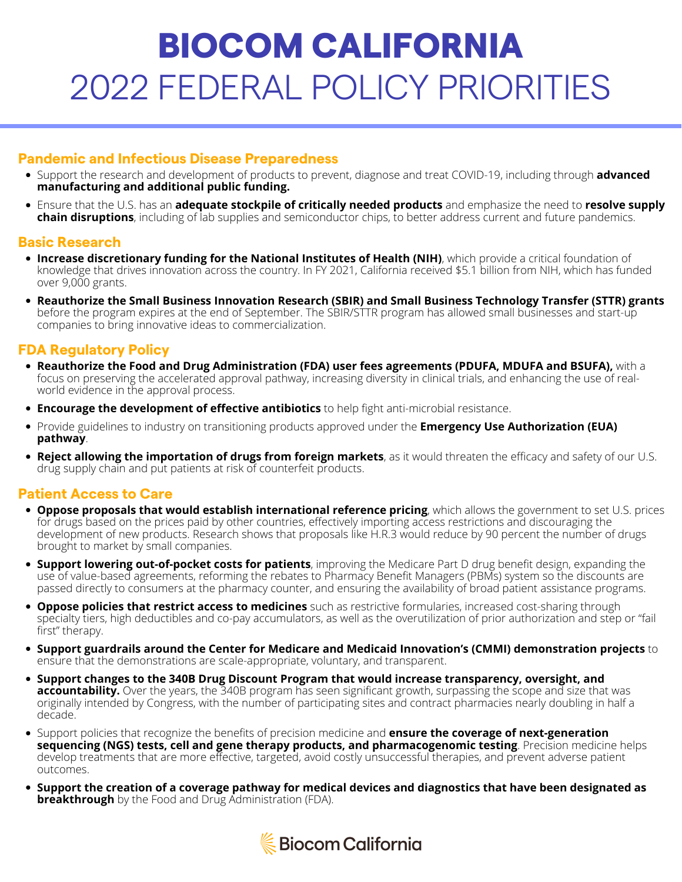# BIOCOM CALIFORNIA 2022 FEDERAL POLICY PRIORITIES

# **Pandemic and Infectious Disease Preparedness**

- Support the research and development of products to prevent, diagnose and treat COVID-19, including through **advanced manufacturing and additional public funding.**
- Ensure that the U.S. has an **adequate stockpile of critically needed products** and emphasize the need to **resolve supply chain disruptions**, including of lab supplies and semiconductor chips, to better address current and future pandemics.

#### **Basic Research**

- **Increase discretionary funding for the National Institutes of Health (NIH)**, which provide a critical foundation of knowledge that drives innovation across the country. In FY 2021, California received \$5.1 billion from NIH, which has funded over 9,000 grants.
- **Reauthorize the Small Business Innovation Research (SBIR) and Small Business Technology Transfer (STTR) grants** before the program expires at the end of September. The SBIR/STTR program has allowed small businesses and start-up companies to bring innovative ideas to commercialization.

## **FDA Regulatory Policy**

- **Reauthorize the Food and Drug Administration (FDA) user fees agreements (PDUFA, MDUFA and BSUFA),** with a focus on preserving the accelerated approval pathway, increasing diversity in clinical trials, and enhancing the use of realworld evidence in the approval process.
- **Encourage the development of effective antibiotics** to help fight anti-microbial resistance.
- Provide guidelines to industry on transitioning products approved under the **Emergency Use Authorization (EUA) pathway**.
- **Reject allowing the importation of drugs from foreign markets**, as it would threaten the efficacy and safety of our U.S. drug supply chain and put patients at risk of counterfeit products.

## **Patient Access to Care**

- **Oppose proposals that would establish international reference pricing**, which allows the government to set U.S. prices for drugs based on the prices paid by other countries, effectively importing access restrictions and discouraging the development of new products. Research shows that proposals like H.R.3 would reduce by 90 percent the number of drugs brought to market by small companies.
- **Support lowering out-of-pocket costs for patients**, improving the Medicare Part D drug benefit design, expanding the use of value-based agreements, reforming the rebates to Pharmacy Benefit Managers (PBMs) system so the discounts are passed directly to consumers at the pharmacy counter, and ensuring the availability of broad patient assistance programs.
- **Oppose policies that restrict access to medicines** such as restrictive formularies, increased cost-sharing through specialty tiers, high deductibles and co-pay accumulators, as well as the overutilization of prior authorization and step or "fail first" therapy.
- **Support guardrails around the Center for Medicare and Medicaid Innovation's (CMMI) demonstration projects** to ensure that the demonstrations are scale-appropriate, voluntary, and transparent.
- **Support changes to the 340B Drug Discount Program that would increase transparency, oversight, and accountability.** Over the years, the 340B program has seen significant growth, surpassing the scope and size that was originally intended by Congress, with the number of participating sites and contract pharmacies nearly doubling in half a decade.
- Support policies that recognize the benefits of precision medicine and **ensure the coverage of next-generation sequencing (NGS) tests, cell and gene therapy products, and pharmacogenomic testing**. Precision medicine helps develop treatments that are more effective, targeted, avoid costly unsuccessful therapies, and prevent adverse patient outcomes.
- **Support the creation of a coverage pathway for medical devices and diagnostics that have been designated as breakthrough** by the Food and Drug Administration (FDA).